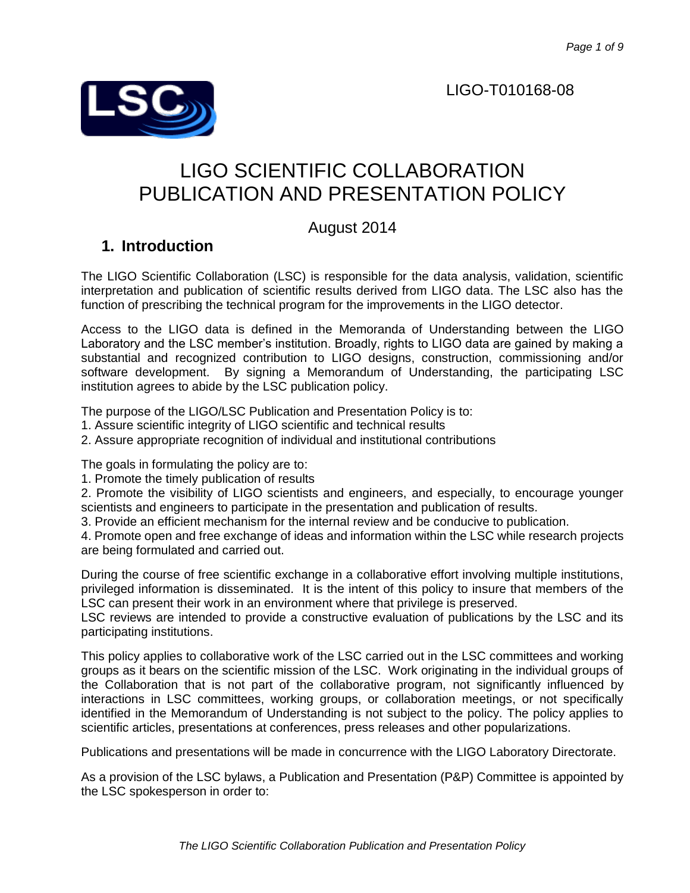## LIGO-T010168-08



# LIGO SCIENTIFIC COLLABORATION PUBLICATION AND PRESENTATION POLICY

# August 2014

# **1. Introduction**

The LIGO Scientific Collaboration (LSC) is responsible for the data analysis, validation, scientific interpretation and publication of scientific results derived from LIGO data. The LSC also has the function of prescribing the technical program for the improvements in the LIGO detector.

Access to the LIGO data is defined in the Memoranda of Understanding between the LIGO Laboratory and the LSC member's institution. Broadly, rights to LIGO data are gained by making a substantial and recognized contribution to LIGO designs, construction, commissioning and/or software development. By signing a Memorandum of Understanding, the participating LSC institution agrees to abide by the LSC publication policy.

The purpose of the LIGO/LSC Publication and Presentation Policy is to:

1. Assure scientific integrity of LIGO scientific and technical results

2. Assure appropriate recognition of individual and institutional contributions

The goals in formulating the policy are to:

1. Promote the timely publication of results

2. Promote the visibility of LIGO scientists and engineers, and especially, to encourage younger scientists and engineers to participate in the presentation and publication of results.

3. Provide an efficient mechanism for the internal review and be conducive to publication.

4. Promote open and free exchange of ideas and information within the LSC while research projects are being formulated and carried out.

During the course of free scientific exchange in a collaborative effort involving multiple institutions, privileged information is disseminated. It is the intent of this policy to insure that members of the LSC can present their work in an environment where that privilege is preserved.

LSC reviews are intended to provide a constructive evaluation of publications by the LSC and its participating institutions.

This policy applies to collaborative work of the LSC carried out in the LSC committees and working groups as it bears on the scientific mission of the LSC. Work originating in the individual groups of the Collaboration that is not part of the collaborative program, not significantly influenced by interactions in LSC committees, working groups, or collaboration meetings, or not specifically identified in the Memorandum of Understanding is not subject to the policy. The policy applies to scientific articles, presentations at conferences, press releases and other popularizations.

Publications and presentations will be made in concurrence with the LIGO Laboratory Directorate.

As a provision of the LSC bylaws, a Publication and Presentation (P&P) Committee is appointed by the LSC spokesperson in order to: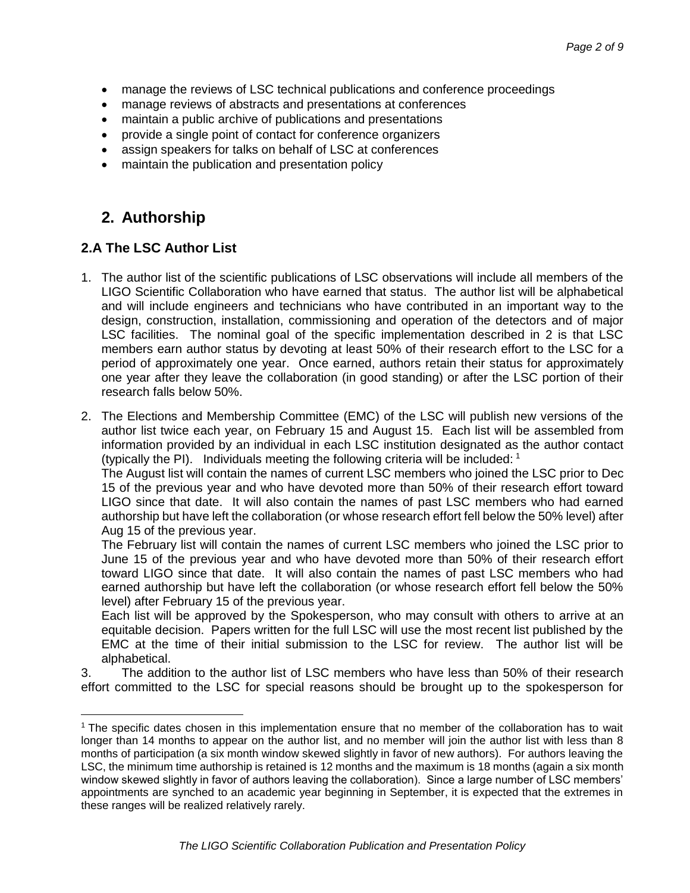- manage the reviews of LSC technical publications and conference proceedings
- manage reviews of abstracts and presentations at conferences
- maintain a public archive of publications and presentations
- provide a single point of contact for conference organizers
- assign speakers for talks on behalf of LSC at conferences
- maintain the publication and presentation policy

# **2. Authorship**

### **2.A The LSC Author List**

 $\overline{a}$ 

- 1. The author list of the scientific publications of LSC observations will include all members of the LIGO Scientific Collaboration who have earned that status. The author list will be alphabetical and will include engineers and technicians who have contributed in an important way to the design, construction, installation, commissioning and operation of the detectors and of major LSC facilities. The nominal goal of the specific implementation described in 2 is that LSC members earn author status by devoting at least 50% of their research effort to the LSC for a period of approximately one year. Once earned, authors retain their status for approximately one year after they leave the collaboration (in good standing) or after the LSC portion of their research falls below 50%.
- 2. The Elections and Membership Committee (EMC) of the LSC will publish new versions of the author list twice each year, on February 15 and August 15. Each list will be assembled from information provided by an individual in each LSC institution designated as the author contact (typically the PI). Individuals meeting the following criteria will be included:  $1$

The August list will contain the names of current LSC members who joined the LSC prior to Dec 15 of the previous year and who have devoted more than 50% of their research effort toward LIGO since that date. It will also contain the names of past LSC members who had earned authorship but have left the collaboration (or whose research effort fell below the 50% level) after Aug 15 of the previous year.

The February list will contain the names of current LSC members who joined the LSC prior to June 15 of the previous year and who have devoted more than 50% of their research effort toward LIGO since that date. It will also contain the names of past LSC members who had earned authorship but have left the collaboration (or whose research effort fell below the 50% level) after February 15 of the previous year.

Each list will be approved by the Spokesperson, who may consult with others to arrive at an equitable decision. Papers written for the full LSC will use the most recent list published by the EMC at the time of their initial submission to the LSC for review. The author list will be alphabetical.

3. The addition to the author list of LSC members who have less than 50% of their research effort committed to the LSC for special reasons should be brought up to the spokesperson for

<sup>&</sup>lt;sup>1</sup> The specific dates chosen in this implementation ensure that no member of the collaboration has to wait longer than 14 months to appear on the author list, and no member will join the author list with less than 8 months of participation (a six month window skewed slightly in favor of new authors). For authors leaving the LSC, the minimum time authorship is retained is 12 months and the maximum is 18 months (again a six month window skewed slightly in favor of authors leaving the collaboration). Since a large number of LSC members' appointments are synched to an academic year beginning in September, it is expected that the extremes in these ranges will be realized relatively rarely.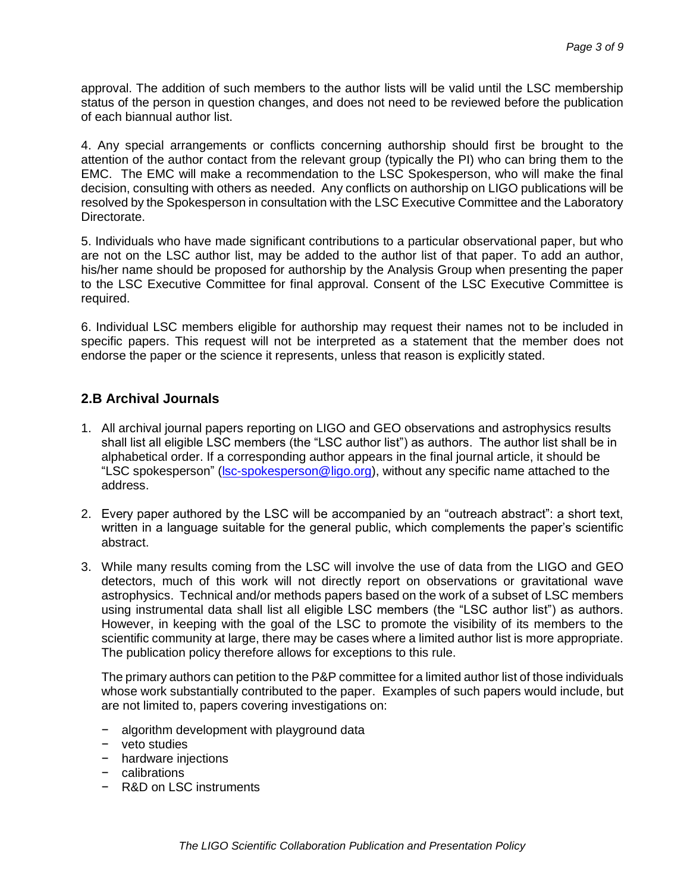approval. The addition of such members to the author lists will be valid until the LSC membership status of the person in question changes, and does not need to be reviewed before the publication of each biannual author list.

4. Any special arrangements or conflicts concerning authorship should first be brought to the attention of the author contact from the relevant group (typically the PI) who can bring them to the EMC. The EMC will make a recommendation to the LSC Spokesperson, who will make the final decision, consulting with others as needed. Any conflicts on authorship on LIGO publications will be resolved by the Spokesperson in consultation with the LSC Executive Committee and the Laboratory Directorate.

5. Individuals who have made significant contributions to a particular observational paper, but who are not on the LSC author list, may be added to the author list of that paper. To add an author, his/her name should be proposed for authorship by the Analysis Group when presenting the paper to the LSC Executive Committee for final approval. Consent of the LSC Executive Committee is required.

6. Individual LSC members eligible for authorship may request their names not to be included in specific papers. This request will not be interpreted as a statement that the member does not endorse the paper or the science it represents, unless that reason is explicitly stated.

### **2.B Archival Journals**

- 1. All archival journal papers reporting on LIGO and GEO observations and astrophysics results shall list all eligible LSC members (the "LSC author list") as authors. The author list shall be in alphabetical order. If a corresponding author appears in the final journal article, it should be "LSC spokesperson" (*Isc-spokesperson@ligo.org*), without any specific name attached to the address.
- 2. Every paper authored by the LSC will be accompanied by an "outreach abstract": a short text, written in a language suitable for the general public, which complements the paper's scientific abstract.
- 3. While many results coming from the LSC will involve the use of data from the LIGO and GEO detectors, much of this work will not directly report on observations or gravitational wave astrophysics. Technical and/or methods papers based on the work of a subset of LSC members using instrumental data shall list all eligible LSC members (the "LSC author list") as authors. However, in keeping with the goal of the LSC to promote the visibility of its members to the scientific community at large, there may be cases where a limited author list is more appropriate. The publication policy therefore allows for exceptions to this rule.

The primary authors can petition to the P&P committee for a limited author list of those individuals whose work substantially contributed to the paper. Examples of such papers would include, but are not limited to, papers covering investigations on:

- − algorithm development with playground data
- − veto studies
- − hardware injections
- − calibrations
- − R&D on LSC instruments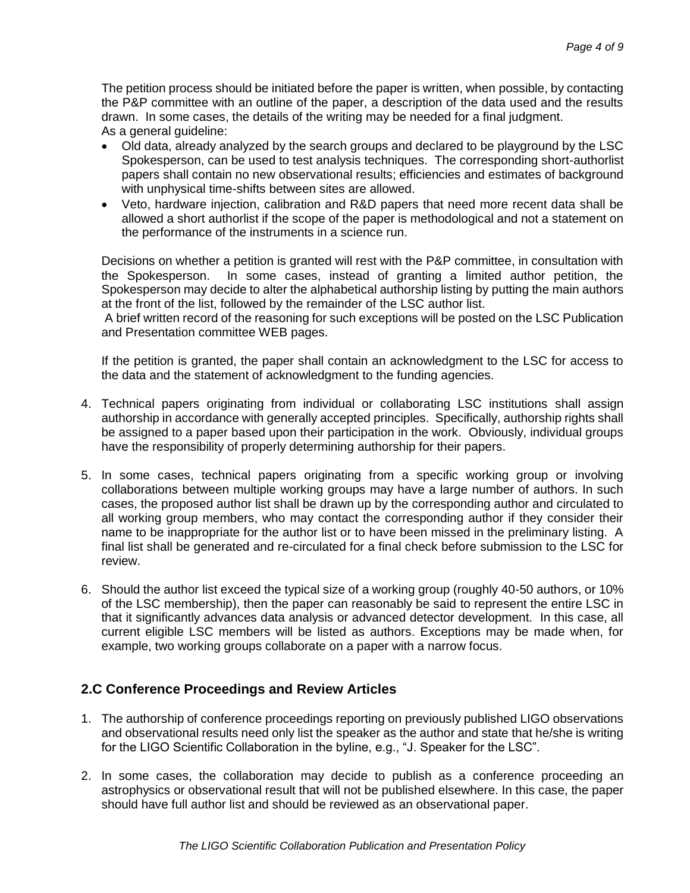The petition process should be initiated before the paper is written, when possible, by contacting the P&P committee with an outline of the paper, a description of the data used and the results drawn. In some cases, the details of the writing may be needed for a final judgment. As a general guideline:

- Old data, already analyzed by the search groups and declared to be playground by the LSC Spokesperson, can be used to test analysis techniques. The corresponding short-authorlist papers shall contain no new observational results; efficiencies and estimates of background with unphysical time-shifts between sites are allowed.
- Veto, hardware injection, calibration and R&D papers that need more recent data shall be allowed a short authorlist if the scope of the paper is methodological and not a statement on the performance of the instruments in a science run.

Decisions on whether a petition is granted will rest with the P&P committee, in consultation with the Spokesperson. In some cases, instead of granting a limited author petition, the Spokesperson may decide to alter the alphabetical authorship listing by putting the main authors at the front of the list, followed by the remainder of the LSC author list.

A brief written record of the reasoning for such exceptions will be posted on the LSC Publication and Presentation committee WEB pages.

If the petition is granted, the paper shall contain an acknowledgment to the LSC for access to the data and the statement of acknowledgment to the funding agencies.

- 4. Technical papers originating from individual or collaborating LSC institutions shall assign authorship in accordance with generally accepted principles. Specifically, authorship rights shall be assigned to a paper based upon their participation in the work. Obviously, individual groups have the responsibility of properly determining authorship for their papers.
- 5. In some cases, technical papers originating from a specific working group or involving collaborations between multiple working groups may have a large number of authors. In such cases, the proposed author list shall be drawn up by the corresponding author and circulated to all working group members, who may contact the corresponding author if they consider their name to be inappropriate for the author list or to have been missed in the preliminary listing. A final list shall be generated and re-circulated for a final check before submission to the LSC for review.
- 6. Should the author list exceed the typical size of a working group (roughly 40-50 authors, or 10% of the LSC membership), then the paper can reasonably be said to represent the entire LSC in that it significantly advances data analysis or advanced detector development. In this case, all current eligible LSC members will be listed as authors. Exceptions may be made when, for example, two working groups collaborate on a paper with a narrow focus.

### **2.C Conference Proceedings and Review Articles**

- 1. The authorship of conference proceedings reporting on previously published LIGO observations and observational results need only list the speaker as the author and state that he/she is writing for the LIGO Scientific Collaboration in the byline, e.g., "J. Speaker for the LSC".
- 2. In some cases, the collaboration may decide to publish as a conference proceeding an astrophysics or observational result that will not be published elsewhere. In this case, the paper should have full author list and should be reviewed as an observational paper.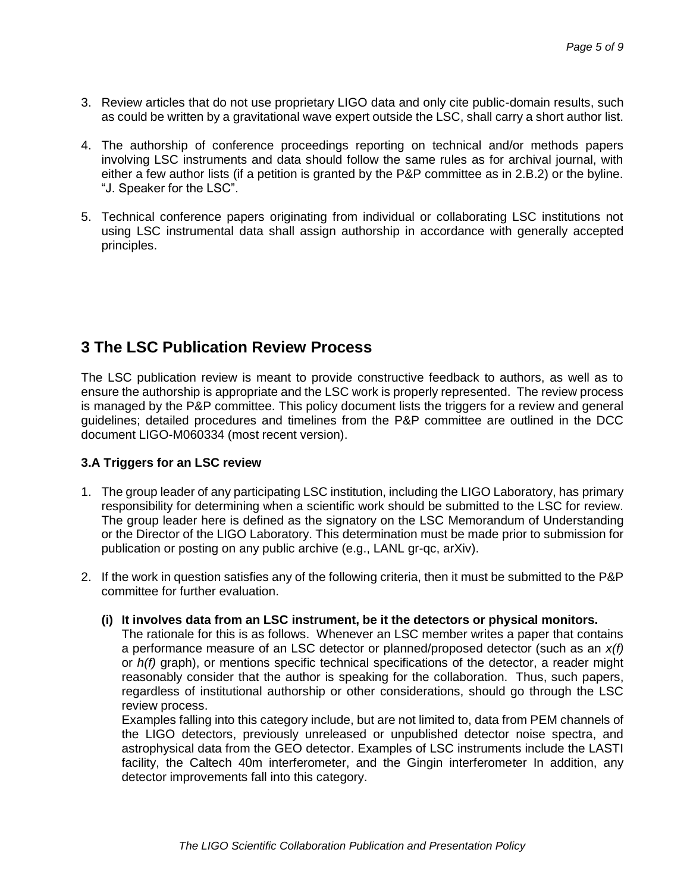- 3. Review articles that do not use proprietary LIGO data and only cite public-domain results, such as could be written by a gravitational wave expert outside the LSC, shall carry a short author list.
- 4. The authorship of conference proceedings reporting on technical and/or methods papers involving LSC instruments and data should follow the same rules as for archival journal, with either a few author lists (if a petition is granted by the P&P committee as in 2.B.2) or the byline. "J. Speaker for the LSC".
- 5. Technical conference papers originating from individual or collaborating LSC institutions not using LSC instrumental data shall assign authorship in accordance with generally accepted principles.

# **3 The LSC Publication Review Process**

The LSC publication review is meant to provide constructive feedback to authors, as well as to ensure the authorship is appropriate and the LSC work is properly represented. The review process is managed by the P&P committee. This policy document lists the triggers for a review and general guidelines; detailed procedures and timelines from the P&P committee are outlined in the DCC document LIGO-M060334 (most recent version).

#### **3.A Triggers for an LSC review**

- 1. The group leader of any participating LSC institution, including the LIGO Laboratory, has primary responsibility for determining when a scientific work should be submitted to the LSC for review. The group leader here is defined as the signatory on the LSC Memorandum of Understanding or the Director of the LIGO Laboratory. This determination must be made prior to submission for publication or posting on any public archive (e.g., LANL gr-qc, arXiv).
- 2. If the work in question satisfies any of the following criteria, then it must be submitted to the P&P committee for further evaluation.
	- **(i) It involves data from an LSC instrument, be it the detectors or physical monitors.**

The rationale for this is as follows. Whenever an LSC member writes a paper that contains a performance measure of an LSC detector or planned/proposed detector (such as an *x(f)* or *h(f)* graph), or mentions specific technical specifications of the detector, a reader might reasonably consider that the author is speaking for the collaboration. Thus, such papers, regardless of institutional authorship or other considerations, should go through the LSC review process.

Examples falling into this category include, but are not limited to, data from PEM channels of the LIGO detectors, previously unreleased or unpublished detector noise spectra, and astrophysical data from the GEO detector. Examples of LSC instruments include the LASTI facility, the Caltech 40m interferometer, and the Gingin interferometer In addition, any detector improvements fall into this category.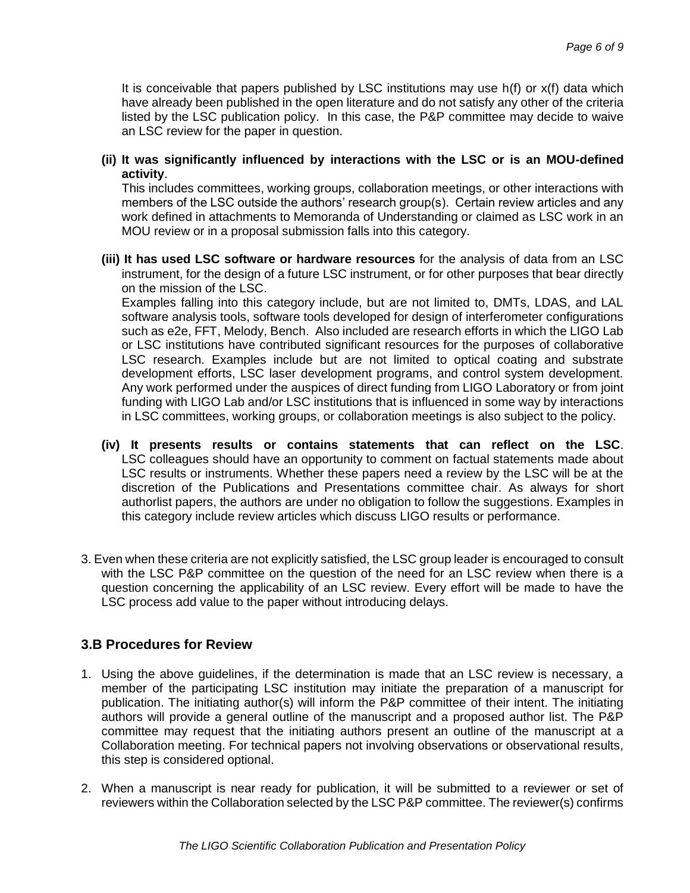It is conceivable that papers published by LSC institutions may use  $h(f)$  or  $x(f)$  data which have already been published in the open literature and do not satisfy any other of the criteria listed by the LSC publication policy. In this case, the P&P committee may decide to waive an LSC review for the paper in question.

#### **(ii) It was significantly influenced by interactions with the LSC or is an MOU-defined activity**.

This includes committees, working groups, collaboration meetings, or other interactions with members of the LSC outside the authors' research group(s). Certain review articles and any work defined in attachments to Memoranda of Understanding or claimed as LSC work in an MOU review or in a proposal submission falls into this category.

**(iii) It has used LSC software or hardware resources** for the analysis of data from an LSC instrument, for the design of a future LSC instrument, or for other purposes that bear directly on the mission of the LSC.

Examples falling into this category include, but are not limited to, DMTs, LDAS, and LAL software analysis tools, software tools developed for design of interferometer configurations such as e2e, FFT, Melody, Bench. Also included are research efforts in which the LIGO Lab or LSC institutions have contributed significant resources for the purposes of collaborative LSC research. Examples include but are not limited to optical coating and substrate development efforts, LSC laser development programs, and control system development. Any work performed under the auspices of direct funding from LIGO Laboratory or from joint funding with LIGO Lab and/or LSC institutions that is influenced in some way by interactions in LSC committees, working groups, or collaboration meetings is also subject to the policy.

- **(iv) It presents results or contains statements that can reflect on the LSC**. LSC colleagues should have an opportunity to comment on factual statements made about LSC results or instruments. Whether these papers need a review by the LSC will be at the discretion of the Publications and Presentations committee chair. As always for short authorlist papers, the authors are under no obligation to follow the suggestions. Examples in this category include review articles which discuss LIGO results or performance.
- 3. Even when these criteria are not explicitly satisfied, the LSC group leader is encouraged to consult with the LSC P&P committee on the question of the need for an LSC review when there is a question concerning the applicability of an LSC review. Every effort will be made to have the LSC process add value to the paper without introducing delays.

### **3.B Procedures for Review**

- 1. Using the above guidelines, if the determination is made that an LSC review is necessary, a member of the participating LSC institution may initiate the preparation of a manuscript for publication. The initiating author(s) will inform the P&P committee of their intent. The initiating authors will provide a general outline of the manuscript and a proposed author list. The P&P committee may request that the initiating authors present an outline of the manuscript at a Collaboration meeting. For technical papers not involving observations or observational results, this step is considered optional.
- 2. When a manuscript is near ready for publication, it will be submitted to a reviewer or set of reviewers within the Collaboration selected by the LSC P&P committee. The reviewer(s) confirms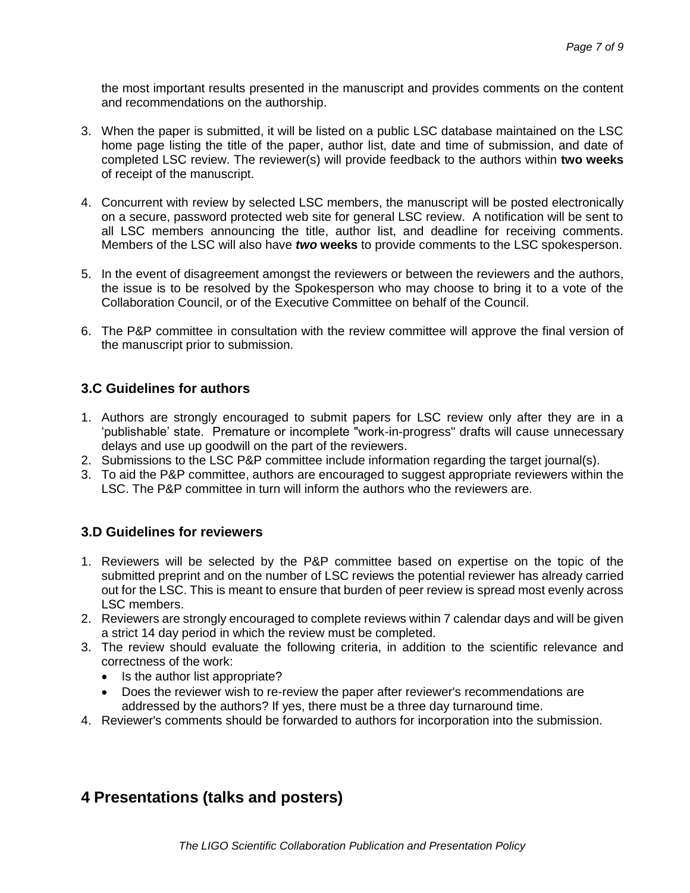the most important results presented in the manuscript and provides comments on the content and recommendations on the authorship.

- 3. When the paper is submitted, it will be listed on a public LSC database maintained on the LSC home page listing the title of the paper, author list, date and time of submission, and date of completed LSC review. The reviewer(s) will provide feedback to the authors within **two weeks** of receipt of the manuscript.
- 4. Concurrent with review by selected LSC members, the manuscript will be posted electronically on a secure, password protected web site for general LSC review. A notification will be sent to all LSC members announcing the title, author list, and deadline for receiving comments. Members of the LSC will also have *two* **weeks** to provide comments to the LSC spokesperson.
- 5. In the event of disagreement amongst the reviewers or between the reviewers and the authors, the issue is to be resolved by the Spokesperson who may choose to bring it to a vote of the Collaboration Council, or of the Executive Committee on behalf of the Council.
- 6. The P&P committee in consultation with the review committee will approve the final version of the manuscript prior to submission.

### **3.C Guidelines for authors**

- 1. Authors are strongly encouraged to submit papers for LSC review only after they are in a 'publishable' state. Premature or incomplete "work-in-progress" drafts will cause unnecessary delays and use up goodwill on the part of the reviewers.
- 2. Submissions to the LSC P&P committee include information regarding the target journal(s).
- 3. To aid the P&P committee, authors are encouraged to suggest appropriate reviewers within the LSC. The P&P committee in turn will inform the authors who the reviewers are.

### **3.D Guidelines for reviewers**

- 1. Reviewers will be selected by the P&P committee based on expertise on the topic of the submitted preprint and on the number of LSC reviews the potential reviewer has already carried out for the LSC. This is meant to ensure that burden of peer review is spread most evenly across LSC members.
- 2. Reviewers are strongly encouraged to complete reviews within 7 calendar days and will be given a strict 14 day period in which the review must be completed.
- 3. The review should evaluate the following criteria, in addition to the scientific relevance and correctness of the work:
	- Is the author list appropriate?
	- Does the reviewer wish to re-review the paper after reviewer's recommendations are addressed by the authors? If yes, there must be a three day turnaround time.
- 4. Reviewer's comments should be forwarded to authors for incorporation into the submission.

# **4 Presentations (talks and posters)**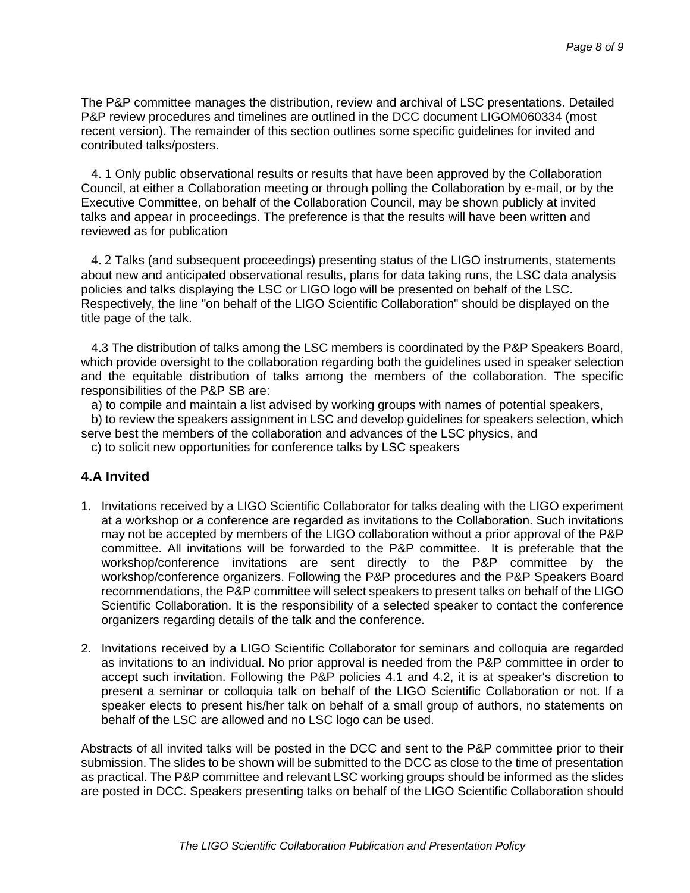The P&P committee manages the distribution, review and archival of LSC presentations. Detailed P&P review procedures and timelines are outlined in the DCC document LIGOM060334 (most recent version). The remainder of this section outlines some specific guidelines for invited and contributed talks/posters.

4. 1 Only public observational results or results that have been approved by the Collaboration Council, at either a Collaboration meeting or through polling the Collaboration by e-mail, or by the Executive Committee, on behalf of the Collaboration Council, may be shown publicly at invited talks and appear in proceedings. The preference is that the results will have been written and reviewed as for publication

4. 2 Talks (and subsequent proceedings) presenting status of the LIGO instruments, statements about new and anticipated observational results, plans for data taking runs, the LSC data analysis policies and talks displaying the LSC or LIGO logo will be presented on behalf of the LSC. Respectively, the line "on behalf of the LIGO Scientific Collaboration" should be displayed on the title page of the talk.

4.3 The distribution of talks among the LSC members is coordinated by the P&P Speakers Board, which provide oversight to the collaboration regarding both the guidelines used in speaker selection and the equitable distribution of talks among the members of the collaboration. The specific responsibilities of the P&P SB are:

a) to compile and maintain a list advised by working groups with names of potential speakers,

b) to review the speakers assignment in LSC and develop guidelines for speakers selection, which serve best the members of the collaboration and advances of the LSC physics, and

c) to solicit new opportunities for conference talks by LSC speakers

#### **4.A Invited**

- 1. Invitations received by a LIGO Scientific Collaborator for talks dealing with the LIGO experiment at a workshop or a conference are regarded as invitations to the Collaboration. Such invitations may not be accepted by members of the LIGO collaboration without a prior approval of the P&P committee. All invitations will be forwarded to the P&P committee. It is preferable that the workshop/conference invitations are sent directly to the P&P committee by the workshop/conference organizers. Following the P&P procedures and the P&P Speakers Board recommendations, the P&P committee will select speakers to present talks on behalf of the LIGO Scientific Collaboration. It is the responsibility of a selected speaker to contact the conference organizers regarding details of the talk and the conference.
- 2. Invitations received by a LIGO Scientific Collaborator for seminars and colloquia are regarded as invitations to an individual. No prior approval is needed from the P&P committee in order to accept such invitation. Following the P&P policies 4.1 and 4.2, it is at speaker's discretion to present a seminar or colloquia talk on behalf of the LIGO Scientific Collaboration or not. If a speaker elects to present his/her talk on behalf of a small group of authors, no statements on behalf of the LSC are allowed and no LSC logo can be used.

Abstracts of all invited talks will be posted in the DCC and sent to the P&P committee prior to their submission. The slides to be shown will be submitted to the DCC as close to the time of presentation as practical. The P&P committee and relevant LSC working groups should be informed as the slides are posted in DCC. Speakers presenting talks on behalf of the LIGO Scientific Collaboration should